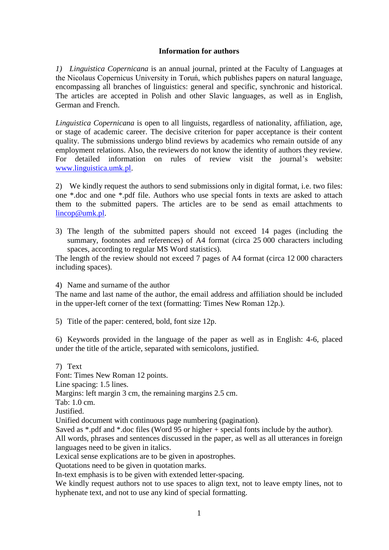## **Information for authors**

*1) Linguistica Copernicana* is an annual journal, printed at the Faculty of Languages at the Nicolaus Copernicus University in Toruń, which publishes papers on natural language, encompassing all branches of linguistics: general and specific, synchronic and historical. The articles are accepted in Polish and other Slavic languages, as well as in English, German and French.

*Linguistica Copernicana* is open to all linguists, regardless of nationality, affiliation, age, or stage of academic career. The decisive criterion for paper acceptance is their content quality. The submissions undergo blind reviews by academics who remain outside of any employment relations. Also, the reviewers do not know the identity of authors they review. For detailed information on rules of review visit the journal's website: [www.linguistica.umk.pl.](http://www.linguistica.umk.pl/)

2) We kindly request the authors to send submissions only in digital format, i.e. two files: one \*.doc and one \*.pdf file. Authors who use special fonts in texts are asked to attach them to the submitted papers. The articles are to be send as email attachments to [lincop@umk.pl.](mailto:lincop@umk.pl)

3) The length of the submitted papers should not exceed 14 pages (including the summary, footnotes and references) of A4 format (circa 25 000 characters including spaces, according to regular MS Word statistics).

The length of the review should not exceed 7 pages of A4 format (circa 12 000 characters including spaces).

4) Name and surname of the author

The name and last name of the author, the email address and affiliation should be included in the upper-left corner of the text (formatting: Times New Roman 12p.).

5) Title of the paper: centered, bold, font size 12p.

6) Keywords provided in the language of the paper as well as in English: 4-6, placed under the title of the article, separated with semicolons, justified.

7) Text Font: Times New Roman 12 points. Line spacing: 1.5 lines. Margins: left margin 3 cm, the remaining margins 2.5 cm. Tab: 1.0 cm. Justified. Unified document with continuous page numbering (pagination). Saved as \*.pdf and \*.doc files (Word 95 or higher + special fonts include by the author). All words, phrases and sentences discussed in the paper, as well as all utterances in foreign languages need to be given in italics. Lexical sense explications are to be given in apostrophes. Quotations need to be given in quotation marks. In-text emphasis is to be given with extended letter-spacing.

We kindly request authors not to use spaces to align text, not to leave empty lines, not to hyphenate text, and not to use any kind of special formatting.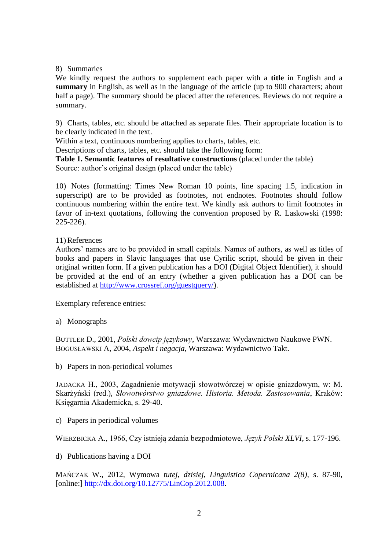## 8) Summaries

We kindly request the authors to supplement each paper with a **title** in English and a **summary** in English, as well as in the language of the article (up to 900 characters; about half a page). The summary should be placed after the references. Reviews do not require a summary.

9) Charts, tables, etc. should be attached as separate files. Their appropriate location is to be clearly indicated in the text.

Within a text, continuous numbering applies to charts, tables, etc.

Descriptions of charts, tables, etc. should take the following form:

**Table 1. Semantic features of resultative constructions** (placed under the table) Source: author's original design (placed under the table)

10) Notes (formatting: Times New Roman 10 points, line spacing 1.5, indication in superscript) are to be provided as footnotes, not endnotes. Footnotes should follow continuous numbering within the entire text. We kindly ask authors to limit footnotes in favor of in-text quotations, following the convention proposed by R. Laskowski (1998: 225-226).

## 11)References

Authors' names are to be provided in small capitals. Names of authors, as well as titles of books and papers in Slavic languages that use Cyrilic script, should be given in their original written form. If a given publication has a DOI (Digital Object Identifier), it should be provided at the end of an entry (whether a given publication has a DOI can be established at [http://www.crossref.org/guestquery/\)](http://www.crossref.org/guestquery/).

Exemplary reference entries:

a) Monographs

BUTTLER D., 2001, *Polski dowcip językowy*, Warszawa: Wydawnictwo Naukowe PWN. BOGUSŁAWSKI A, 2004, *Aspekt i negacja*, Warszawa: Wydawnictwo Takt.

b) Papers in non-periodical volumes

JADACKA H., 2003, Zagadnienie motywacji słowotwórczej w opisie gniazdowym, w: M. Skarżyński (red.), *Słowotwórstwo gniazdowe. Historia. Metoda. Zastosowania*, Kraków: Księgarnia Akademicka, s. 29-40.

c) Papers in periodical volumes

WIERZBICKA A., 1966, Czy istnieją zdania bezpodmiotowe, *Język Polski XLVI*, s. 177-196.

d) Publications having a DOI

MAŃCZAK W., 2012, Wymowa *tutej*, *dzisiej*, *Linguistica Copernicana 2(8)*, s. 87-90, [online:] [http://dx.doi.org/10.12775/LinCop.2012.008.](http://dx.doi.org/10.12775/LinCop.2012.008)